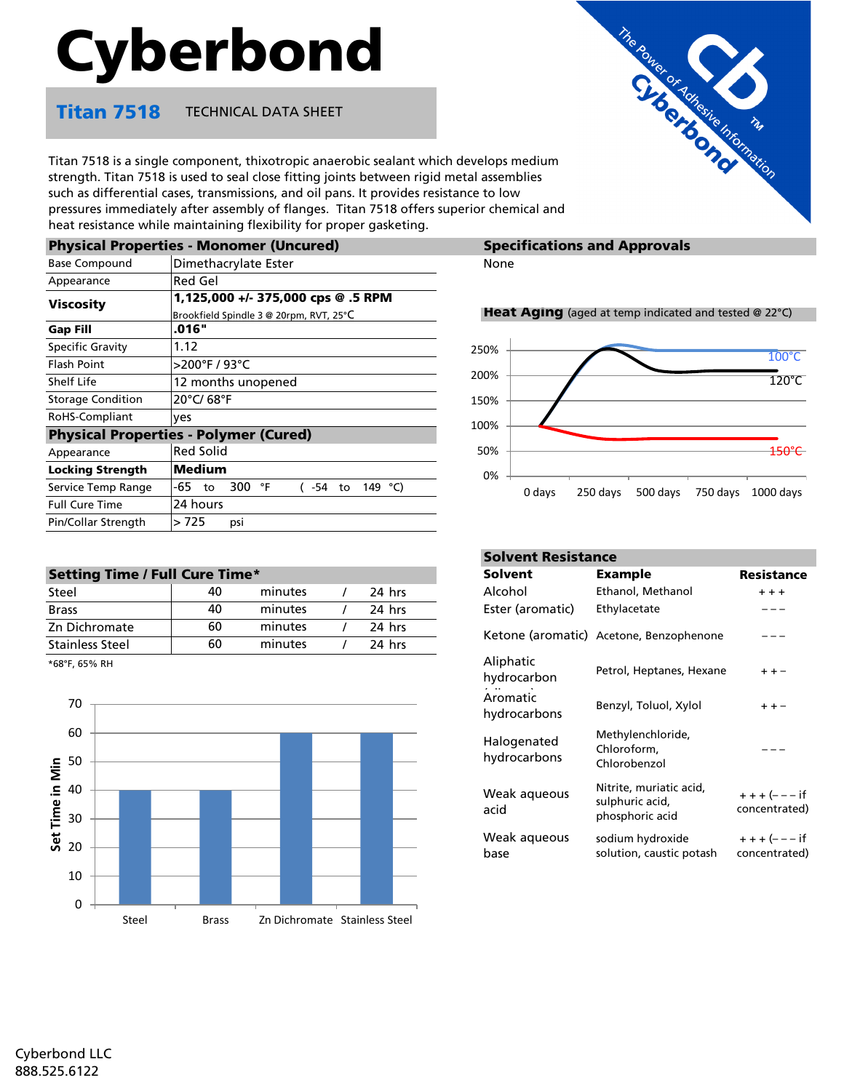# Cyberbond

### **Titan 7518** TECHNICAL DATA SHEET

Titan 7518 is a single component, thixotropic anaerobic sealant which develops medium strength. Titan 7518 is used to seal close fitting joints between rigid metal assemblies such as differential cases, transmissions, and oil pans. It provides resistance to low pressures immediately after assembly of flanges. Titan 7518 offers superior chemical and heat resistance while maintaining flexibility for proper gasketing.

|                          | <b>Physical Properties - Monomer (Uncured)</b>  | Spec        |
|--------------------------|-------------------------------------------------|-------------|
| <b>Base Compound</b>     | Dimethacrylate Ester                            | None        |
| Appearance               | Red Gel                                         |             |
| <b>Viscosity</b>         | 1,125,000 +/- 375,000 cps @ .5 RPM              |             |
|                          | Brookfield Spindle 3 @ 20rpm, RVT, 25°C         | <b>Heat</b> |
| <b>Gap Fill</b>          | .016"                                           |             |
| <b>Specific Gravity</b>  | 1.12                                            | 250%        |
| <b>Flash Point</b>       | >200°F / 93°C                                   |             |
| Shelf Life               | 12 months unopened                              | 200%        |
| <b>Storage Condition</b> | 20°C/ 68°F                                      | 150%        |
| RoHS-Compliant           | ves                                             | 100%        |
|                          | <b>Physical Properties - Polymer (Cured)</b>    |             |
| Appearance               | <b>Red Solid</b>                                | 50%         |
| <b>Locking Strength</b>  | Medium                                          | 0%          |
| Service Temp Range       | -65<br>300<br>149 °C)<br>°F<br>$(-54)$ to<br>to |             |
| <b>Full Cure Time</b>    | 24 hours                                        |             |
| Pin/Collar Strength      | > 725<br>psi                                    |             |
|                          |                                                 |             |

| <b>Setting Time / Full Cure Time*</b> |  |  |  |
|---------------------------------------|--|--|--|
|                                       |  |  |  |

| Steel                  | 40 | minutes | 24 hrs |  |
|------------------------|----|---------|--------|--|
| <b>Brass</b>           | 40 | minutes | 24 hrs |  |
| Zn Dichromate          | 60 | minutes | 24 hrs |  |
| <b>Stainless Steel</b> | 60 | minutes | 24 hrs |  |
| $+$ $COP$ $CPO$ $P11$  |    |         |        |  |

\*68°F, 65% RH



## **Specifications and Approvals**

#### **Heat Aging** (aged at temp indicated and tested @ 22 $^{\circ}$ C)

The Partner of Adventure The Christian and



|                 |         |        |                             | <b>Solvent Resistance</b>                                     |                               |  |  |
|-----------------|---------|--------|-----------------------------|---------------------------------------------------------------|-------------------------------|--|--|
| e Time*         |         |        | <b>Solvent</b>              | <b>Example</b>                                                | <b>Resistance</b>             |  |  |
| 40              | minutes | 24 hrs | Alcohol                     | Ethanol, Methanol                                             | $+ + +$                       |  |  |
| 40              | minutes | 24 hrs | Ester (aromatic)            | Ethylacetate                                                  |                               |  |  |
| 60              | minutes | 24 hrs |                             | Ketone (aromatic) Acetone, Benzophenone                       |                               |  |  |
| $\overline{60}$ | minutes | 24 hrs |                             |                                                               |                               |  |  |
|                 |         |        | Aliphatic<br>hydrocarbon    | Petrol, Heptanes, Hexane                                      | + + -                         |  |  |
|                 |         |        | Aromatic<br>hydrocarbons    | Benzyl, Toluol, Xylol                                         |                               |  |  |
|                 |         |        | Halogenated<br>hydrocarbons | Methylenchloride,<br>Chloroform,<br>Chlorobenzol              |                               |  |  |
|                 |         |        | Weak aqueous<br>acid        | Nitrite, muriatic acid,<br>sulphuric acid,<br>phosphoric acid | $+++(--- if$<br>concentrated) |  |  |
|                 |         |        | Weak aqueous<br>base        | sodium hydroxide<br>solution, caustic potash                  | $+++(---if$<br>concentrated)  |  |  |